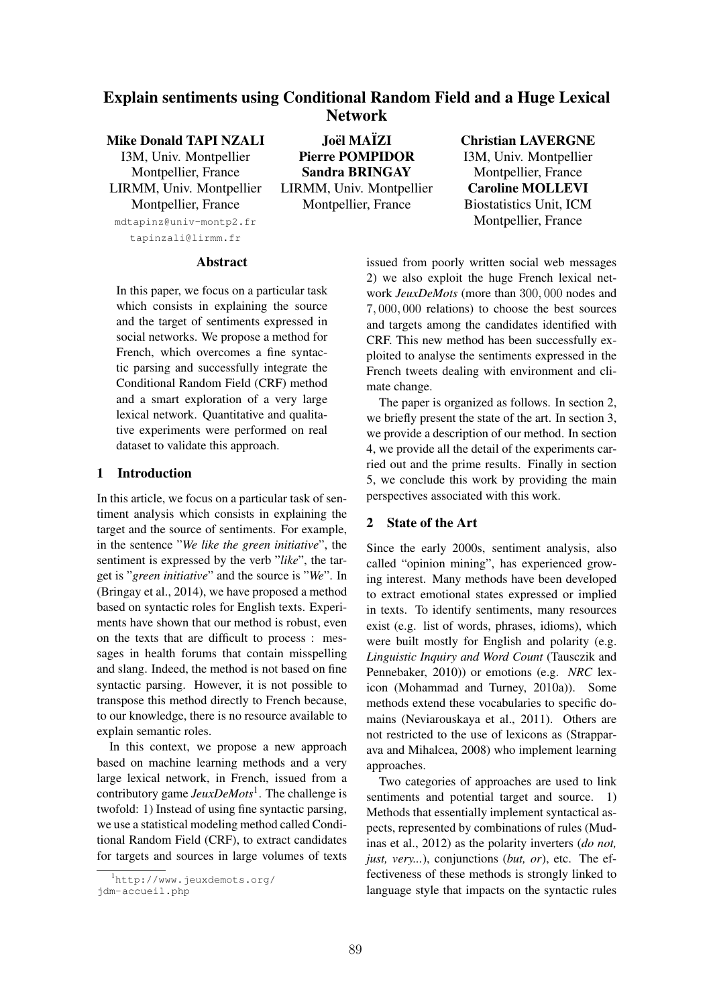## Explain sentiments using Conditional Random Field and a Huge Lexical Network

# Mike Donald TAPI NZALI

I3M, Univ. Montpellier Montpellier, France LIRMM, Univ. Montpellier Montpellier, France mdtapinz@univ-montp2.fr tapinzali@lirmm.fr

Joël MAÏZI Pierre POMPIDOR Sandra BRINGAY LIRMM, Univ. Montpellier Montpellier, France

## Christian LAVERGNE

I3M, Univ. Montpellier Montpellier, France Caroline MOLLEVI Biostatistics Unit, ICM Montpellier, France

### Abstract

In this paper, we focus on a particular task which consists in explaining the source and the target of sentiments expressed in social networks. We propose a method for French, which overcomes a fine syntactic parsing and successfully integrate the Conditional Random Field (CRF) method and a smart exploration of a very large lexical network. Quantitative and qualitative experiments were performed on real dataset to validate this approach.

### 1 Introduction

In this article, we focus on a particular task of sentiment analysis which consists in explaining the target and the source of sentiments. For example, in the sentence "*We like the green initiative*", the sentiment is expressed by the verb "*like*", the target is "*green initiative*" and the source is "*We*". In (Bringay et al., 2014), we have proposed a method based on syntactic roles for English texts. Experiments have shown that our method is robust, even on the texts that are difficult to process : messages in health forums that contain misspelling and slang. Indeed, the method is not based on fine syntactic parsing. However, it is not possible to transpose this method directly to French because, to our knowledge, there is no resource available to explain semantic roles.

In this context, we propose a new approach based on machine learning methods and a very large lexical network, in French, issued from a contributory game *JeuxDeMots*1. The challenge is twofold: 1) Instead of using fine syntactic parsing, we use a statistical modeling method called Conditional Random Field (CRF), to extract candidates for targets and sources in large volumes of texts

issued from poorly written social web messages 2) we also exploit the huge French lexical network *JeuxDeMots* (more than 300*,* 000 nodes and 7*,* 000*,* 000 relations) to choose the best sources and targets among the candidates identified with CRF. This new method has been successfully exploited to analyse the sentiments expressed in the French tweets dealing with environment and climate change.

The paper is organized as follows. In section 2, we briefly present the state of the art. In section 3, we provide a description of our method. In section 4, we provide all the detail of the experiments carried out and the prime results. Finally in section 5, we conclude this work by providing the main perspectives associated with this work.

## 2 State of the Art

Since the early 2000s, sentiment analysis, also called "opinion mining", has experienced growing interest. Many methods have been developed to extract emotional states expressed or implied in texts. To identify sentiments, many resources exist (e.g. list of words, phrases, idioms), which were built mostly for English and polarity (e.g. *Linguistic Inquiry and Word Count* (Tausczik and Pennebaker, 2010)) or emotions (e.g. *NRC* lexicon (Mohammad and Turney, 2010a)). Some methods extend these vocabularies to specific domains (Neviarouskaya et al., 2011). Others are not restricted to the use of lexicons as (Strapparava and Mihalcea, 2008) who implement learning approaches.

Two categories of approaches are used to link sentiments and potential target and source. 1) Methods that essentially implement syntactical aspects, represented by combinations of rules (Mudinas et al., 2012) as the polarity inverters (*do not, just, very...*), conjunctions (*but, or*), etc. The effectiveness of these methods is strongly linked to language style that impacts on the syntactic rules

<sup>1</sup> http://www.jeuxdemots.org/ jdm-accueil.php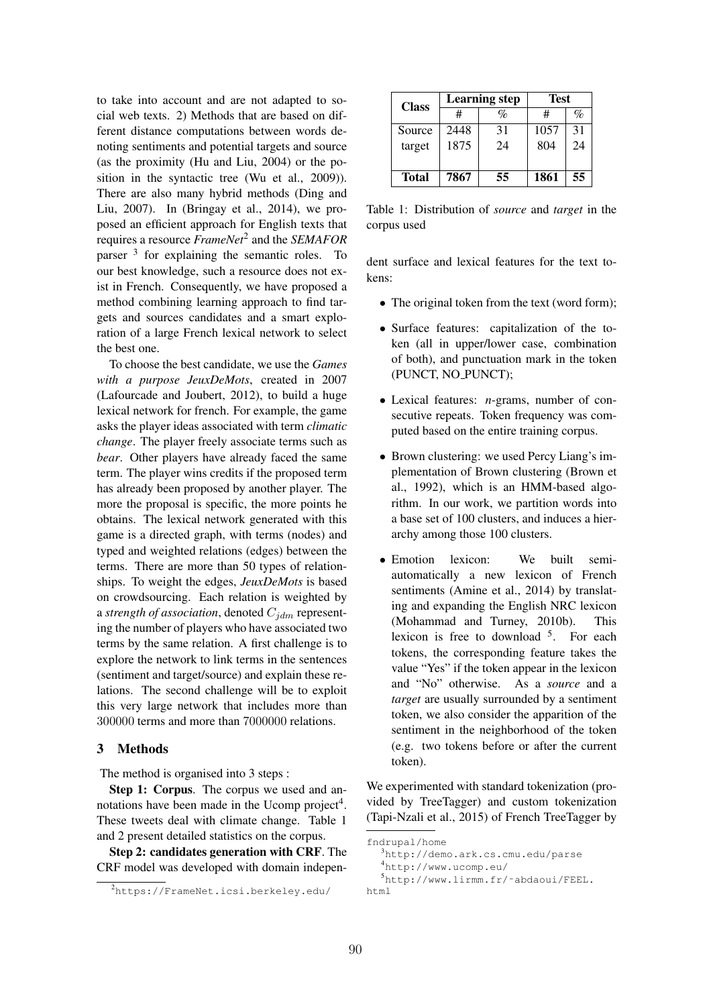to take into account and are not adapted to social web texts. 2) Methods that are based on different distance computations between words denoting sentiments and potential targets and source (as the proximity (Hu and Liu, 2004) or the position in the syntactic tree (Wu et al., 2009)). There are also many hybrid methods (Ding and Liu, 2007). In (Bringay et al., 2014), we proposed an efficient approach for English texts that requires a resource *FrameNet*<sup>2</sup> and the *SEMAFOR* parser  $3$  for explaining the semantic roles. To our best knowledge, such a resource does not exist in French. Consequently, we have proposed a method combining learning approach to find targets and sources candidates and a smart exploration of a large French lexical network to select the best one.

To choose the best candidate, we use the *Games with a purpose JeuxDeMots*, created in 2007 (Lafourcade and Joubert, 2012), to build a huge lexical network for french. For example, the game asks the player ideas associated with term *climatic change*. The player freely associate terms such as *bear*. Other players have already faced the same term. The player wins credits if the proposed term has already been proposed by another player. The more the proposal is specific, the more points he obtains. The lexical network generated with this game is a directed graph, with terms (nodes) and typed and weighted relations (edges) between the terms. There are more than 50 types of relationships. To weight the edges, *JeuxDeMots* is based on crowdsourcing. Each relation is weighted by a *strength of association*, denoted *Cjdm* representing the number of players who have associated two terms by the same relation. A first challenge is to explore the network to link terms in the sentences (sentiment and target/source) and explain these relations. The second challenge will be to exploit this very large network that includes more than 300000 terms and more than 7000000 relations.

### 3 Methods

The method is organised into 3 steps :

Step 1: Corpus. The corpus we used and annotations have been made in the Ucomp project<sup>4</sup>. These tweets deal with climate change. Table 1 and 2 present detailed statistics on the corpus.

Step 2: candidates generation with CRF. The CRF model was developed with domain indepen-

| <b>Class</b> |      | Learning step | Test |      |  |
|--------------|------|---------------|------|------|--|
|              |      | $\%$          | #    | $\%$ |  |
| Source       | 2448 | 31            | 1057 | 31   |  |
| target       | 1875 | 24            | 804  | 24   |  |
|              |      |               |      |      |  |
| <b>Total</b> | 7867 | 55            | 1861 | 55   |  |

Table 1: Distribution of *source* and *target* in the corpus used

dent surface and lexical features for the text tokens:

- The original token from the text (word form);
- *•* Surface features: capitalization of the token (all in upper/lower case, combination of both), and punctuation mark in the token (PUNCT, NO PUNCT);
- *•* Lexical features: *n*-grams, number of consecutive repeats. Token frequency was computed based on the entire training corpus.
- Brown clustering: we used Percy Liang's implementation of Brown clustering (Brown et al., 1992), which is an HMM-based algorithm. In our work, we partition words into a base set of 100 clusters, and induces a hierarchy among those 100 clusters.
- *•* Emotion lexicon: We built semiautomatically a new lexicon of French sentiments (Amine et al., 2014) by translating and expanding the English NRC lexicon (Mohammad and Turney, 2010b). This lexicon is free to download  $5$ . For each tokens, the corresponding feature takes the value "Yes" if the token appear in the lexicon and "No" otherwise. As a *source* and a *target* are usually surrounded by a sentiment token, we also consider the apparition of the sentiment in the neighborhood of the token (e.g. two tokens before or after the current token).

We experimented with standard tokenization (provided by TreeTagger) and custom tokenization (Tapi-Nzali et al., 2015) of French TreeTagger by

fndrupal/home 3 http://demo.ark.cs.cmu.edu/parse 4 http://www.ucomp.eu/ 5 http://www.lirmm.fr/˜abdaoui/FEEL. html

<sup>2</sup> https://FrameNet.icsi.berkeley.edu/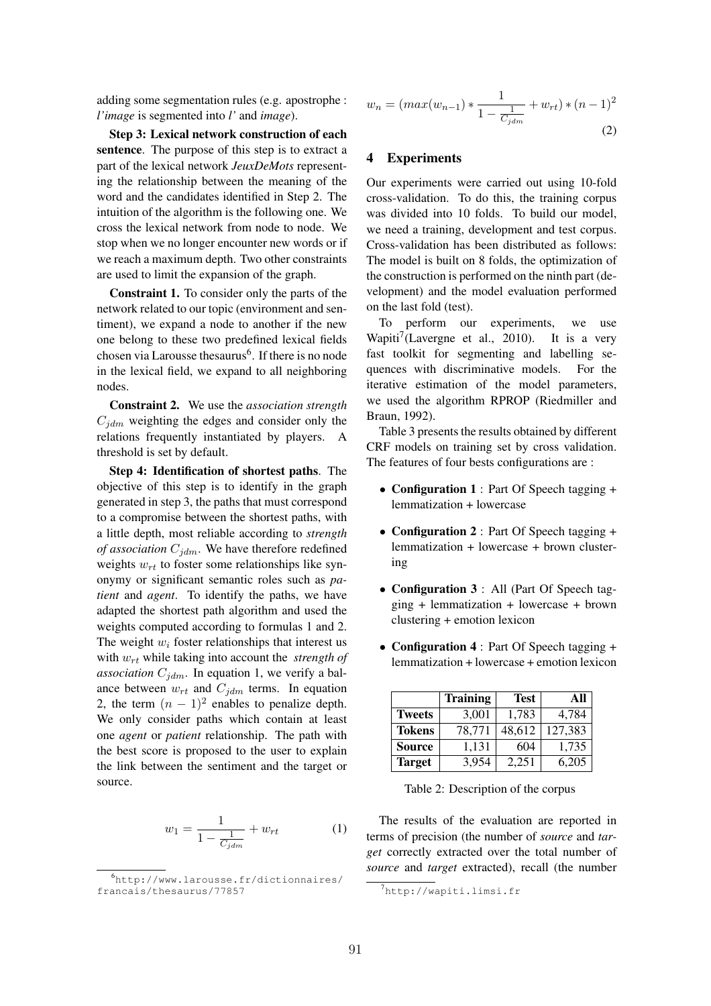adding some segmentation rules (e.g. apostrophe : *l'image* is segmented into *l'* and *image*).

Step 3: Lexical network construction of each sentence. The purpose of this step is to extract a part of the lexical network *JeuxDeMots* representing the relationship between the meaning of the word and the candidates identified in Step 2. The intuition of the algorithm is the following one. We cross the lexical network from node to node. We stop when we no longer encounter new words or if we reach a maximum depth. Two other constraints are used to limit the expansion of the graph.

Constraint 1. To consider only the parts of the network related to our topic (environment and sentiment), we expand a node to another if the new one belong to these two predefined lexical fields chosen via Larousse thesaurus<sup>6</sup>. If there is no node in the lexical field, we expand to all neighboring nodes.

Constraint 2. We use the *association strength*  $C_{idm}$  weighting the edges and consider only the relations frequently instantiated by players. A threshold is set by default.

Step 4: Identification of shortest paths. The objective of this step is to identify in the graph generated in step 3, the paths that must correspond to a compromise between the shortest paths, with a little depth, most reliable according to *strength of association*  $C_{jdm}$ . We have therefore redefined weights  $w_{rt}$  to foster some relationships like synonymy or significant semantic roles such as *patient* and *agent*. To identify the paths, we have adapted the shortest path algorithm and used the weights computed according to formulas 1 and 2. The weight  $w_i$  foster relationships that interest us with *wrt* while taking into account the *strength of* association  $C_{jdm}$ . In equation 1, we verify a balance between  $w_{rt}$  and  $C_{idm}$  terms. In equation 2, the term  $(n - 1)^2$  enables to penalize depth. We only consider paths which contain at least one *agent* or *patient* relationship. The path with the best score is proposed to the user to explain the link between the sentiment and the target or source.

$$
w_1 = \frac{1}{1 - \frac{1}{C_{jdm}}} + w_{rt} \tag{1}
$$

$$
w_n = (max(w_{n-1}) * \frac{1}{1 - \frac{1}{C_{jdm}}} + w_{rt}) * (n - 1)^2
$$
\n(2)

### 4 Experiments

Our experiments were carried out using 10-fold cross-validation. To do this, the training corpus was divided into 10 folds. To build our model, we need a training, development and test corpus. Cross-validation has been distributed as follows: The model is built on 8 folds, the optimization of the construction is performed on the ninth part (development) and the model evaluation performed on the last fold (test).

To perform our experiments, we use Wapiti<sup>7</sup>(Lavergne et al., 2010). It is a very fast toolkit for segmenting and labelling sequences with discriminative models. For the iterative estimation of the model parameters, we used the algorithm RPROP (Riedmiller and Braun, 1992).

Table 3 presents the results obtained by different CRF models on training set by cross validation. The features of four bests configurations are :

- Configuration 1 : Part Of Speech tagging + lemmatization + lowercase
- Configuration 2 : Part Of Speech tagging + lemmatization + lowercase + brown clustering
- Configuration 3 : All (Part Of Speech tagging + lemmatization + lowercase + brown clustering + emotion lexicon
- Configuration 4 : Part Of Speech tagging + lemmatization + lowercase + emotion lexicon

|               | <b>Training</b> | <b>Test</b> | AII     |
|---------------|-----------------|-------------|---------|
| <b>Tweets</b> | 3,001           | 1,783       | 4,784   |
| <b>Tokens</b> | 78,771          | 48,612      | 127,383 |
| <b>Source</b> | 1,131           | 604         | 1,735   |
| <b>Target</b> | 3.954           | 2.251       | 6.205   |

Table 2: Description of the corpus

The results of the evaluation are reported in terms of precision (the number of *source* and *target* correctly extracted over the total number of *source* and *target* extracted), recall (the number

<sup>6</sup> http://www.larousse.fr/dictionnaires/ francais/thesaurus/77857

<sup>7</sup> http://wapiti.limsi.fr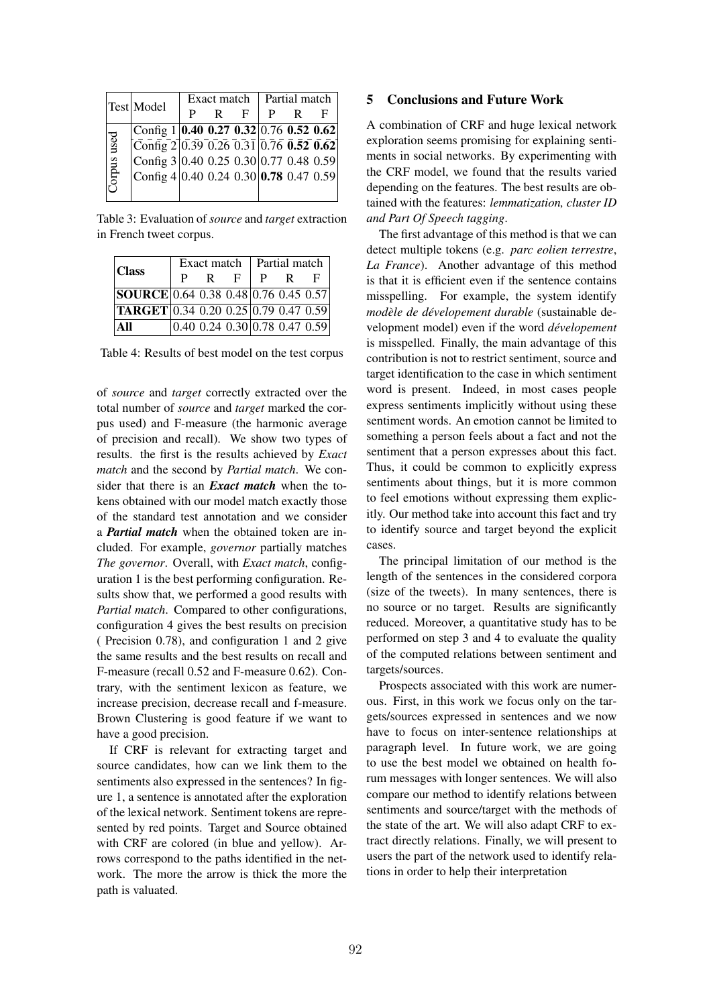|             | Test Model                                                                                       | Exact match |  |    | Partial match |  |   |
|-------------|--------------------------------------------------------------------------------------------------|-------------|--|----|---------------|--|---|
|             |                                                                                                  | P           |  | F. |               |  | F |
|             | Config 1 0.40 0.27 0.32 0.76 0.52 0.62                                                           |             |  |    |               |  |   |
| Corpus used | $\left[\overline{\text{Config}}\, 2\right] 0.39\, 0.26\, 0.31\, \left 0.76\, 0.52\, 0.62\right $ |             |  |    |               |  |   |
|             | Config $3 0.40\;0.25\;0.30 0.77\;0.48\;0.59 $                                                    |             |  |    |               |  |   |
|             | Config 4 0.40 0.24 0.30 <b>0.78</b> 0.47 0.59                                                    |             |  |    |               |  |   |
|             |                                                                                                  |             |  |    |               |  |   |

Table 3: Evaluation of *source* and *target* extraction in French tweet corpus.

| <b>Class</b>                                                       | Exact match |   |    | Partial match |   |                                 |
|--------------------------------------------------------------------|-------------|---|----|---------------|---|---------------------------------|
|                                                                    |             | R | E. | P             | R | E                               |
| SOURCE 0.64 0.38 0.48 0.76 0.45 0.57                               |             |   |    |               |   |                                 |
| $\textbf{TRRGET}\vert 0.34\ 0.20\ 0.25\vert 0.79\ 0.47\ 0.59\vert$ |             |   |    |               |   |                                 |
| $\mathbf{All}$                                                     |             |   |    |               |   | $0.40$ 0.24 0.30 0.78 0.47 0.59 |

Table 4: Results of best model on the test corpus

of *source* and *target* correctly extracted over the total number of *source* and *target* marked the corpus used) and F-measure (the harmonic average of precision and recall). We show two types of results. the first is the results achieved by *Exact match* and the second by *Partial match*. We consider that there is an *Exact match* when the tokens obtained with our model match exactly those of the standard test annotation and we consider a *Partial match* when the obtained token are included. For example, *governor* partially matches *The governor*. Overall, with *Exact match*, configuration 1 is the best performing configuration. Results show that, we performed a good results with *Partial match.* Compared to other configurations, configuration 4 gives the best results on precision ( Precision 0.78), and configuration 1 and 2 give the same results and the best results on recall and F-measure (recall 0.52 and F-measure 0.62). Contrary, with the sentiment lexicon as feature, we increase precision, decrease recall and f-measure. Brown Clustering is good feature if we want to have a good precision.

If CRF is relevant for extracting target and source candidates, how can we link them to the sentiments also expressed in the sentences? In figure 1, a sentence is annotated after the exploration of the lexical network. Sentiment tokens are represented by red points. Target and Source obtained with CRF are colored (in blue and yellow). Arrows correspond to the paths identified in the network. The more the arrow is thick the more the path is valuated.

### 5 Conclusions and Future Work

A combination of CRF and huge lexical network exploration seems promising for explaining sentiments in social networks. By experimenting with the CRF model, we found that the results varied depending on the features. The best results are obtained with the features: *lemmatization, cluster ID and Part Of Speech tagging*.

The first advantage of this method is that we can detect multiple tokens (e.g. *parc eolien terrestre*, *La France*). Another advantage of this method is that it is efficient even if the sentence contains misspelling. For example, the system identify *modèle de dévelopement durable* (sustainable development model) even if the word *developement ´* is misspelled. Finally, the main advantage of this contribution is not to restrict sentiment, source and target identification to the case in which sentiment word is present. Indeed, in most cases people express sentiments implicitly without using these sentiment words. An emotion cannot be limited to something a person feels about a fact and not the sentiment that a person expresses about this fact. Thus, it could be common to explicitly express sentiments about things, but it is more common to feel emotions without expressing them explicitly. Our method take into account this fact and try to identify source and target beyond the explicit cases.

The principal limitation of our method is the length of the sentences in the considered corpora (size of the tweets). In many sentences, there is no source or no target. Results are significantly reduced. Moreover, a quantitative study has to be performed on step 3 and 4 to evaluate the quality of the computed relations between sentiment and targets/sources.

Prospects associated with this work are numerous. First, in this work we focus only on the targets/sources expressed in sentences and we now have to focus on inter-sentence relationships at paragraph level. In future work, we are going to use the best model we obtained on health forum messages with longer sentences. We will also compare our method to identify relations between sentiments and source/target with the methods of the state of the art. We will also adapt CRF to extract directly relations. Finally, we will present to users the part of the network used to identify relations in order to help their interpretation